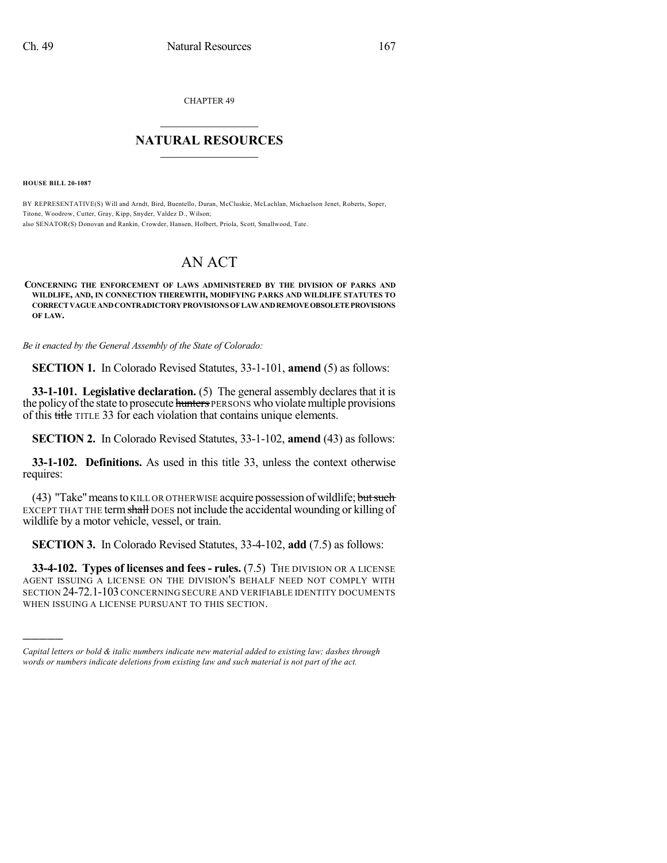CHAPTER 49

## $\overline{\phantom{a}}$  . The set of the set of the set of the set of the set of the set of the set of the set of the set of the set of the set of the set of the set of the set of the set of the set of the set of the set of the set o **NATURAL RESOURCES**  $\frac{1}{\sqrt{2}}$  , where  $\frac{1}{\sqrt{2}}$  ,  $\frac{1}{\sqrt{2}}$  ,  $\frac{1}{\sqrt{2}}$

**HOUSE BILL 20-1087**

)))))

BY REPRESENTATIVE(S) Will and Arndt, Bird, Buentello, Duran, McCluskie, McLachlan, Michaelson Jenet, Roberts, Soper, Titone, Woodrow, Cutter, Gray, Kipp, Snyder, Valdez D., Wilson; also SENATOR(S) Donovan and Rankin, Crowder, Hansen, Holbert, Priola, Scott, Smallwood, Tate.

## AN ACT

**CONCERNING THE ENFORCEMENT OF LAWS ADMINISTERED BY THE DIVISION OF PARKS AND WILDLIFE, AND, IN CONNECTION THEREWITH, MODIFYING PARKS AND WILDLIFE STATUTES TO CORRECTVAGUEANDCONTRADICTORYPROVISIONSOFLAWANDREMOVEOBSOLETEPROVISIONS OF LAW.**

*Be it enacted by the General Assembly of the State of Colorado:*

**SECTION 1.** In Colorado Revised Statutes, 33-1-101, **amend** (5) as follows:

**33-1-101. Legislative declaration.** (5) The general assembly declares that it is the policy of the state to prosecute hunters PERSONS who violate multiple provisions of this title TITLE 33 for each violation that contains unique elements.

**SECTION 2.** In Colorado Revised Statutes, 33-1-102, **amend** (43) as follows:

**33-1-102. Definitions.** As used in this title 33, unless the context otherwise requires:

(43) "Take" means to KILL OR OTHERWISE acquire possession of wildlife; but such EXCEPT THAT THE term shall DOES not include the accidental wounding or killing of wildlife by a motor vehicle, vessel, or train.

**SECTION 3.** In Colorado Revised Statutes, 33-4-102, **add** (7.5) as follows:

**33-4-102. Types of licenses and fees- rules.** (7.5) THE DIVISION OR A LICENSE AGENT ISSUING A LICENSE ON THE DIVISION'S BEHALF NEED NOT COMPLY WITH SECTION 24-72.1-103 CONCERNING SECURE AND VERIFIABLE IDENTITY DOCUMENTS WHEN ISSUING A LICENSE PURSUANT TO THIS SECTION.

*Capital letters or bold & italic numbers indicate new material added to existing law; dashes through words or numbers indicate deletions from existing law and such material is not part of the act.*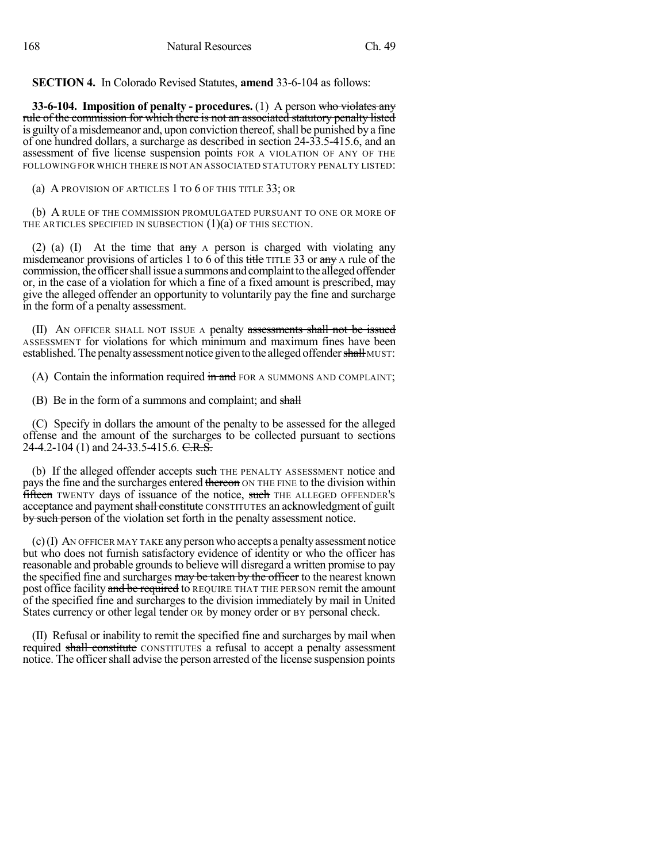**SECTION 4.** In Colorado Revised Statutes, **amend** 33-6-104 as follows:

**33-6-104. Imposition of penalty - procedures.** (1) A person who violates any rule of the commission for which there is not an associated statutory penalty listed is guilty of a misdemeanor and, upon conviction thereof, shall be punished by a fine of one hundred dollars, a surcharge as described in section 24-33.5-415.6, and an assessment of five license suspension points FOR A VIOLATION OF ANY OF THE FOLLOWING FOR WHICH THERE IS NOT AN ASSOCIATED STATUTORY PENALTY LISTED:

(a) A PROVISION OF ARTICLES 1 TO 6 OF THIS TITLE 33; OR

(b) A RULE OF THE COMMISSION PROMULGATED PURSUANT TO ONE OR MORE OF THE ARTICLES SPECIFIED IN SUBSECTION  $(1)(a)$  OF THIS SECTION.

(2) (a) (I) At the time that  $\frac{a}{x}$  A person is charged with violating any misdemeanor provisions of articles 1 to 6 of this title TITLE 33 or any A rule of the commission, the officer shall issue a summons and complaint to the alleged offender or, in the case of a violation for which a fine of a fixed amount is prescribed, may give the alleged offender an opportunity to voluntarily pay the fine and surcharge in the form of a penalty assessment.

(II) AN OFFICER SHALL NOT ISSUE A penalty assessments shall not be issued ASSESSMENT for violations for which minimum and maximum fines have been established. The penalty assessment notice given to the alleged offender shall MUST:

(A) Contain the information required  $\frac{d}{dx}$  and FOR A SUMMONS AND COMPLAINT;

(B) Be in the form of a summons and complaint; and shall

(C) Specify in dollars the amount of the penalty to be assessed for the alleged offense and the amount of the surcharges to be collected pursuant to sections 24-4.2-104 (1) and 24-33.5-415.6. C.R.S.

(b) If the alleged offender accepts such THE PENALTY ASSESSMENT notice and pays the fine and the surcharges entered thereon ON THE FINE to the division within fifteen TWENTY days of issuance of the notice, such THE ALLEGED OFFENDER's acceptance and payment shall constitute CONSTITUTES an acknowledgment of guilt by such person of the violation set forth in the penalty assessment notice.

(c)(I) AN OFFICER MAY TAKE anypersonwho accepts a penaltyassessment notice but who does not furnish satisfactory evidence of identity or who the officer has reasonable and probable grounds to believe will disregard a written promise to pay the specified fine and surcharges may be taken by the officer to the nearest known post office facility and be required to REQUIRE THAT THE PERSON remit the amount of the specified fine and surcharges to the division immediately by mail in United States currency or other legal tender OR by money order or BY personal check.

(II) Refusal or inability to remit the specified fine and surcharges by mail when required shall constitute CONSTITUTES a refusal to accept a penalty assessment notice. The officer shall advise the person arrested of the license suspension points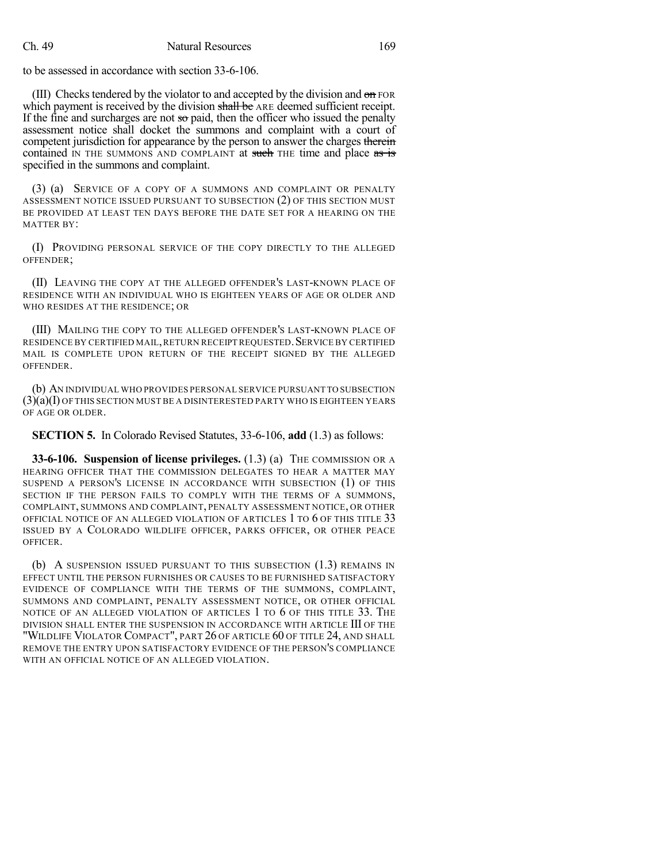to be assessed in accordance with section 33-6-106.

(III) Checks tendered by the violator to and accepted by the division and  $\theta$  FOR which payment is received by the division shall be ARE deemed sufficient receipt. If the fine and surcharges are not  $\infty$  paid, then the officer who issued the penalty assessment notice shall docket the summons and complaint with a court of competent jurisdiction for appearance by the person to answer the charges therein contained IN THE SUMMONS AND COMPLAINT at such THE time and place as is specified in the summons and complaint.

(3) (a) SERVICE OF A COPY OF A SUMMONS AND COMPLAINT OR PENALTY ASSESSMENT NOTICE ISSUED PURSUANT TO SUBSECTION (2) OF THIS SECTION MUST BE PROVIDED AT LEAST TEN DAYS BEFORE THE DATE SET FOR A HEARING ON THE MATTER BY:

(I) PROVIDING PERSONAL SERVICE OF THE COPY DIRECTLY TO THE ALLEGED OFFENDER;

(II) LEAVING THE COPY AT THE ALLEGED OFFENDER'S LAST-KNOWN PLACE OF RESIDENCE WITH AN INDIVIDUAL WHO IS EIGHTEEN YEARS OF AGE OR OLDER AND WHO RESIDES AT THE RESIDENCE; OR

(III) MAILING THE COPY TO THE ALLEGED OFFENDER'S LAST-KNOWN PLACE OF RESIDENCE BY CERTIFIED MAIL, RETURN RECEIPT REQUESTED. SERVICE BY CERTIFIED MAIL IS COMPLETE UPON RETURN OF THE RECEIPT SIGNED BY THE ALLEGED OFFENDER.

(b) AN INDIVIDUAL WHO PROVIDES PERSONAL SERVICE PURSUANT TO SUBSECTION (3)(a)(I) OF THIS SECTION MUST BE A DISINTERESTED PARTY WHO IS EIGHTEEN YEARS OF AGE OR OLDER.

**SECTION 5.** In Colorado Revised Statutes, 33-6-106, **add** (1.3) as follows:

**33-6-106. Suspension of license privileges.** (1.3) (a) THE COMMISSION OR A HEARING OFFICER THAT THE COMMISSION DELEGATES TO HEAR A MATTER MAY SUSPEND A PERSON'S LICENSE IN ACCORDANCE WITH SUBSECTION (1) OF THIS SECTION IF THE PERSON FAILS TO COMPLY WITH THE TERMS OF A SUMMONS, COMPLAINT, SUMMONS AND COMPLAINT, PENALTY ASSESSMENT NOTICE, OR OTHER OFFICIAL NOTICE OF AN ALLEGED VIOLATION OF ARTICLES 1 TO 6 OF THIS TITLE 33 ISSUED BY A COLORADO WILDLIFE OFFICER, PARKS OFFICER, OR OTHER PEACE OFFICER.

(b) A SUSPENSION ISSUED PURSUANT TO THIS SUBSECTION (1.3) REMAINS IN EFFECT UNTIL THE PERSON FURNISHES OR CAUSES TO BE FURNISHED SATISFACTORY EVIDENCE OF COMPLIANCE WITH THE TERMS OF THE SUMMONS, COMPLAINT, SUMMONS AND COMPLAINT, PENALTY ASSESSMENT NOTICE, OR OTHER OFFICIAL NOTICE OF AN ALLEGED VIOLATION OF ARTICLES 1 TO 6 OF THIS TITLE 33. THE DIVISION SHALL ENTER THE SUSPENSION IN ACCORDANCE WITH ARTICLE III OF THE "WILDLIFE VIOLATOR COMPACT", PART 26 OF ARTICLE 60 OF TITLE 24, AND SHALL REMOVE THE ENTRY UPON SATISFACTORY EVIDENCE OF THE PERSON'S COMPLIANCE WITH AN OFFICIAL NOTICE OF AN ALLEGED VIOLATION.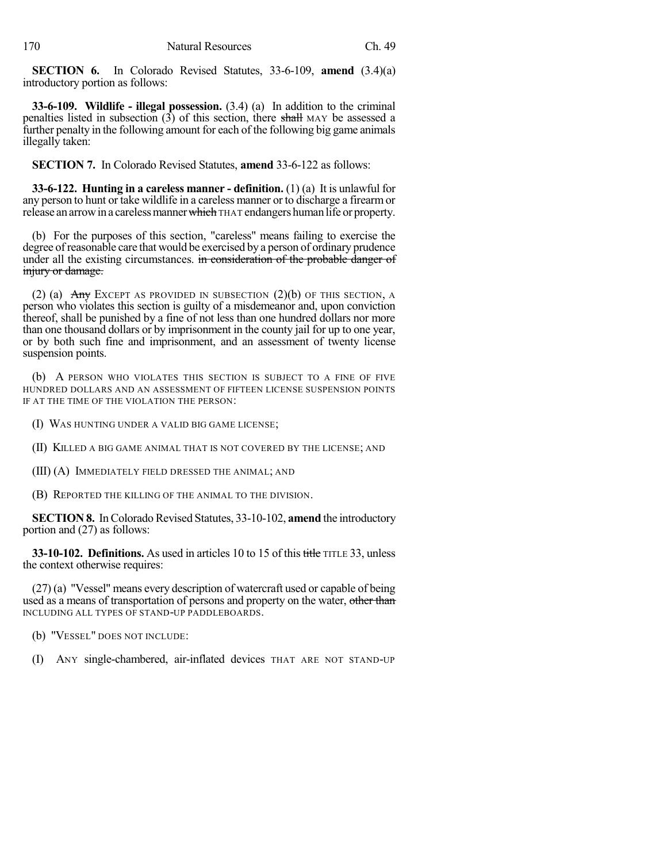**SECTION 6.** In Colorado Revised Statutes, 33-6-109, **amend** (3.4)(a) introductory portion as follows:

**33-6-109. Wildlife - illegal possession.** (3.4) (a) In addition to the criminal penalties listed in subsection  $(3)$  of this section, there shall MAY be assessed a further penalty in the following amount for each of the following big game animals illegally taken:

**SECTION 7.** In Colorado Revised Statutes, **amend** 33-6-122 as follows:

**33-6-122. Hunting in a careless manner - definition.** (1) (a) It is unlawful for any person to hunt or take wildlife in a careless manner or to discharge a firearmor release an arrow in a careless manner which THAT endangers human life or property.

(b) For the purposes of this section, "careless" means failing to exercise the degree ofreasonable care that would be exercised by a person of ordinary prudence under all the existing circumstances. in consideration of the probable danger of injury or damage.

(2) (a)  $\overline{Any}$  Except as provided in subsection (2)(b) of this section, a person who violates this section is guilty of a misdemeanor and, upon conviction thereof, shall be punished by a fine of not less than one hundred dollars nor more than one thousand dollars or by imprisonment in the county jail for up to one year, or by both such fine and imprisonment, and an assessment of twenty license suspension points.

(b) A PERSON WHO VIOLATES THIS SECTION IS SUBJECT TO A FINE OF FIVE HUNDRED DOLLARS AND AN ASSESSMENT OF FIFTEEN LICENSE SUSPENSION POINTS IF AT THE TIME OF THE VIOLATION THE PERSON:

(I) WAS HUNTING UNDER A VALID BIG GAME LICENSE;

(II) KILLED A BIG GAME ANIMAL THAT IS NOT COVERED BY THE LICENSE; AND

(III) (A) IMMEDIATELY FIELD DRESSED THE ANIMAL; AND

(B) REPORTED THE KILLING OF THE ANIMAL TO THE DIVISION.

**SECTION 8.** In Colorado Revised Statutes, 33-10-102, **amend** the introductory portion and (27) as follows:

**33-10-102. Definitions.** As used in articles 10 to 15 of this title TITLE 33, unless the context otherwise requires:

(27) (a) "Vessel" means every description of watercraft used or capable of being used as a means of transportation of persons and property on the water, other than INCLUDING ALL TYPES OF STAND-UP PADDLEBOARDS.

(b) "VESSEL" DOES NOT INCLUDE:

(I) ANY single-chambered, air-inflated devices THAT ARE NOT STAND-UP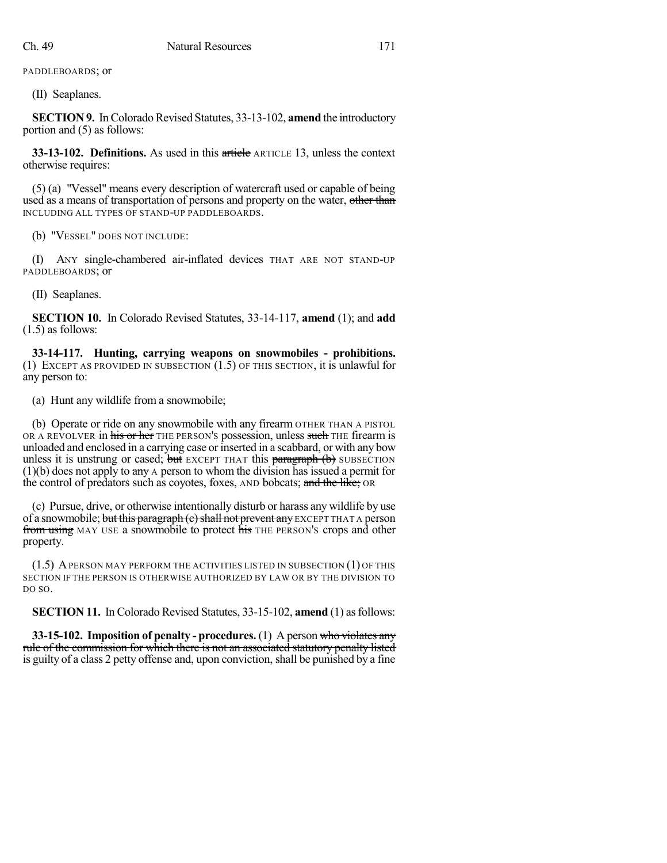PADDLEBOARDS; or

(II) Seaplanes.

**SECTION 9.** In Colorado Revised Statutes, 33-13-102, **amend** the introductory portion and (5) as follows:

**33-13-102. Definitions.** As used in this article ARTICLE 13, unless the context otherwise requires:

(5) (a) "Vessel" means every description of watercraft used or capable of being used as a means of transportation of persons and property on the water, other than INCLUDING ALL TYPES OF STAND-UP PADDLEBOARDS.

(b) "VESSEL" DOES NOT INCLUDE:

(I) ANY single-chambered air-inflated devices THAT ARE NOT STAND-UP PADDLEBOARDS; or

(II) Seaplanes.

**SECTION 10.** In Colorado Revised Statutes, 33-14-117, **amend** (1); and **add** (1.5) as follows:

**33-14-117. Hunting, carrying weapons on snowmobiles - prohibitions.** (1) EXCEPT AS PROVIDED IN SUBSECTION (1.5) OF THIS SECTION, it is unlawful for any person to:

(a) Hunt any wildlife from a snowmobile;

(b) Operate or ride on any snowmobile with any firearm OTHER THAN A PISTOL OR A REVOLVER in his or her THE PERSON'S possession, unless such THE firearm is unloaded and enclosed in a carrying case or inserted in a scabbard, or with any bow unless it is unstrung or cased; but EXCEPT THAT this paragraph  $(b)$  SUBSECTION  $(1)(b)$  does not apply to any A person to whom the division has issued a permit for the control of predators such as coyotes, foxes, AND bobcats; and the like; OR

(c) Pursue, drive, or otherwise intentionally disturb or harass any wildlife by use of a snowmobile; but this paragraph (e) shall not prevent any EXCEPT THAT A person from using MAY USE a snowmobile to protect his THE PERSON's crops and other property.

(1.5) APERSON MAY PERFORM THE ACTIVITIES LISTED IN SUBSECTION (1) OF THIS SECTION IF THE PERSON IS OTHERWISE AUTHORIZED BY LAW OR BY THE DIVISION TO DO SO.

**SECTION 11.** In Colorado Revised Statutes, 33-15-102, **amend** (1) asfollows:

**33-15-102. Imposition of penalty - procedures.** (1) A person who violates any rule of the commission for which there is not an associated statutory penalty listed is guilty of a class 2 petty offense and, upon conviction, shall be punished by a fine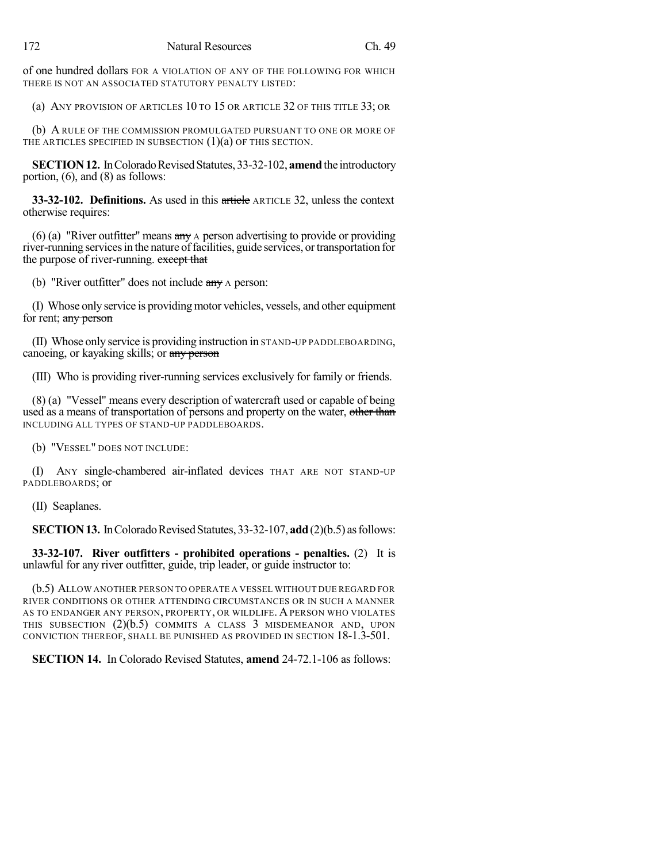of one hundred dollars FOR A VIOLATION OF ANY OF THE FOLLOWING FOR WHICH THERE IS NOT AN ASSOCIATED STATUTORY PENALTY LISTED:

(a) ANY PROVISION OF ARTICLES 10 TO 15 OR ARTICLE 32 OF THIS TITLE 33; OR

(b) A RULE OF THE COMMISSION PROMULGATED PURSUANT TO ONE OR MORE OF THE ARTICLES SPECIFIED IN SUBSECTION  $(1)(a)$  OF THIS SECTION.

**SECTION 12.** In Colorado Revised Statutes, 33-32-102, **amend** the introductory portion, (6), and (8) as follows:

**33-32-102. Definitions.** As used in this article ARTICLE 32, unless the context otherwise requires:

(6) (a) "River outfitter" means  $\frac{a_n}{b_n}$  A person advertising to provide or providing river-running services in the nature of facilities, guide services, or transportation for the purpose of river-running. except that

(b) "River outfitter" does not include any A person:

(I) Whose only service is providingmotor vehicles, vessels, and other equipment for rent; any person

(II) Whose only service is providing instruction in STAND-UP PADDLEBOARDING, canoeing, or kayaking skills; or any person

(III) Who is providing river-running services exclusively for family or friends.

(8) (a) "Vessel" means every description of watercraft used or capable of being used as a means of transportation of persons and property on the water, other than INCLUDING ALL TYPES OF STAND-UP PADDLEBOARDS.

(b) "VESSEL" DOES NOT INCLUDE:

(I) ANY single-chambered air-inflated devices THAT ARE NOT STAND-UP PADDLEBOARDS; or

(II) Seaplanes.

**SECTION 13.** In Colorado Revised Statutes, 33-32-107, **add** (2)(b.5) as follows:

**33-32-107. River outfitters - prohibited operations - penalties.** (2) It is unlawful for any river outfitter, guide, trip leader, or guide instructor to:

(b.5) ALLOW ANOTHER PERSON TO OPERATE A VESSEL WITHOUT DUE REGARD FOR RIVER CONDITIONS OR OTHER ATTENDING CIRCUMSTANCES OR IN SUCH A MANNER AS TO ENDANGER ANY PERSON, PROPERTY, OR WILDLIFE. A PERSON WHO VIOLATES THIS SUBSECTION (2)(b.5) COMMITS A CLASS 3 MISDEMEANOR AND, UPON CONVICTION THEREOF, SHALL BE PUNISHED AS PROVIDED IN SECTION 18-1.3-501.

**SECTION 14.** In Colorado Revised Statutes, **amend** 24-72.1-106 as follows: